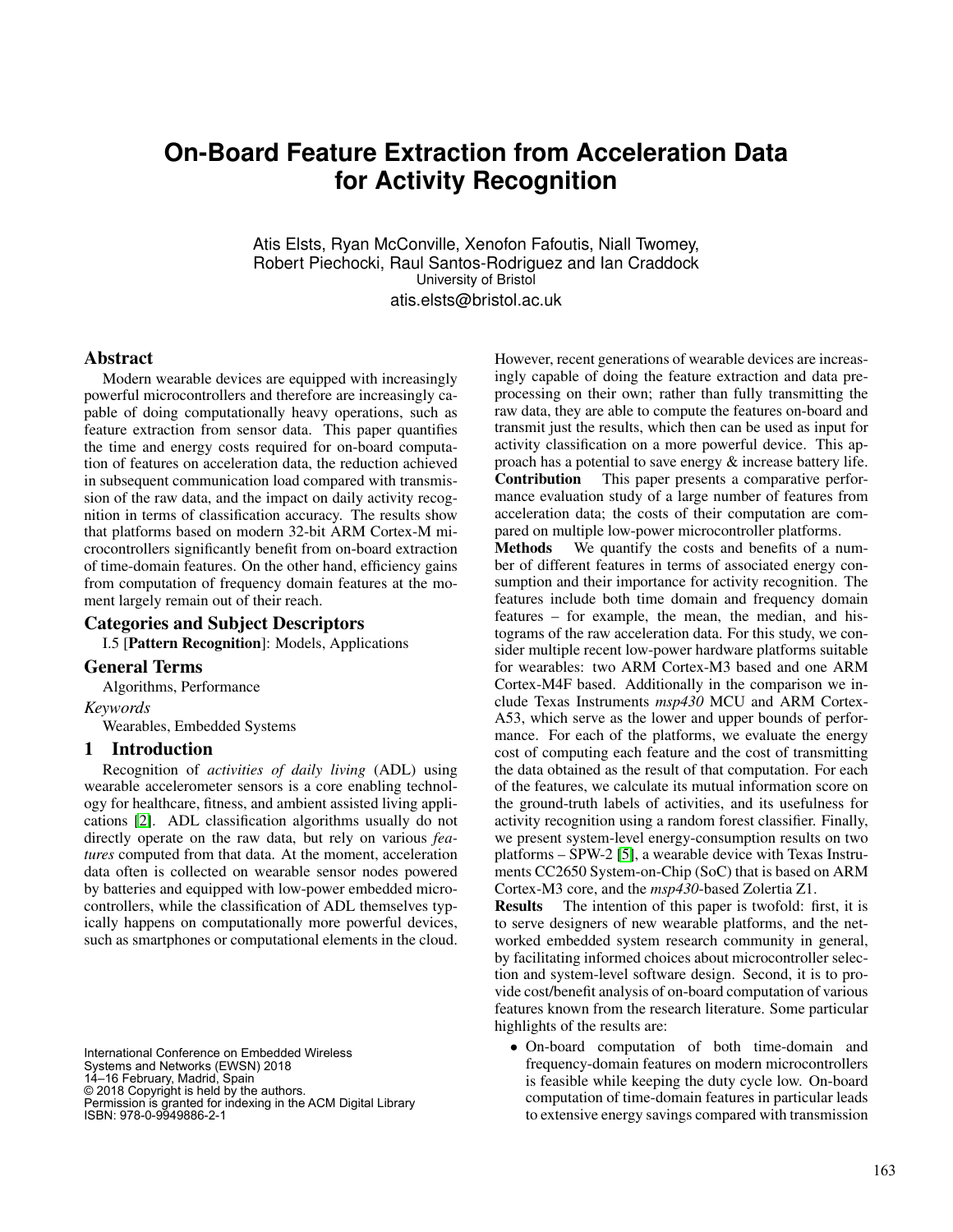# **On-Board Feature Extraction from Acceleration Data for Activity Recognition**

Atis Elsts, Ryan McConville, Xenofon Fafoutis, Niall Twomey, Robert Piechocki, Raul Santos-Rodriguez and Ian Craddock University of Bristol atis.elsts@bristol.ac.uk

#### Abstract

Modern wearable devices are equipped with increasingly powerful microcontrollers and therefore are increasingly capable of doing computationally heavy operations, such as feature extraction from sensor data. This paper quantifies the time and energy costs required for on-board computation of features on acceleration data, the reduction achieved in subsequent communication load compared with transmission of the raw data, and the impact on daily activity recognition in terms of classification accuracy. The results show that platforms based on modern 32-bit ARM Cortex-M microcontrollers significantly benefit from on-board extraction of time-domain features. On the other hand, efficiency gains from computation of frequency domain features at the moment largely remain out of their reach.

## Categories and Subject Descriptors

I.5 [Pattern Recognition]: Models, Applications

### General Terms

Algorithms, Performance

*Keywords*

Wearables, Embedded Systems

#### 1 Introduction

Recognition of *activities of daily living* (ADL) using wearable accelerometer sensors is a core enabling technology for healthcare, fitness, and ambient assisted living applications [\[2\]](#page-5-0). ADL classification algorithms usually do not directly operate on the raw data, but rely on various *features* computed from that data. At the moment, acceleration data often is collected on wearable sensor nodes powered by batteries and equipped with low-power embedded microcontrollers, while the classification of ADL themselves typically happens on computationally more powerful devices, such as smartphones or computational elements in the cloud.

International Conference on Embedded Wireless Systems and Networks (EWSN) 2018 14–16 February, Madrid, Spain © 2018 Copyright is held by the authors. Permission is granted for indexing in the ACM Digital Library ISBN: 978-0-9949886-2-1

However, recent generations of wearable devices are increasingly capable of doing the feature extraction and data preprocessing on their own; rather than fully transmitting the raw data, they are able to compute the features on-board and transmit just the results, which then can be used as input for activity classification on a more powerful device. This approach has a potential to save energy & increase battery life. Contribution This paper presents a comparative performance evaluation study of a large number of features from acceleration data; the costs of their computation are compared on multiple low-power microcontroller platforms.

Methods We quantify the costs and benefits of a number of different features in terms of associated energy consumption and their importance for activity recognition. The features include both time domain and frequency domain features – for example, the mean, the median, and histograms of the raw acceleration data. For this study, we consider multiple recent low-power hardware platforms suitable for wearables: two ARM Cortex-M3 based and one ARM Cortex-M4F based. Additionally in the comparison we include Texas Instruments *msp430* MCU and ARM Cortex-A53, which serve as the lower and upper bounds of performance. For each of the platforms, we evaluate the energy cost of computing each feature and the cost of transmitting the data obtained as the result of that computation. For each of the features, we calculate its mutual information score on the ground-truth labels of activities, and its usefulness for activity recognition using a random forest classifier. Finally, we present system-level energy-consumption results on two platforms – SPW-2 [\[5\]](#page-5-1), a wearable device with Texas Instruments CC2650 System-on-Chip (SoC) that is based on ARM Cortex-M3 core, and the *msp430*-based Zolertia Z1.

Results The intention of this paper is twofold: first, it is to serve designers of new wearable platforms, and the networked embedded system research community in general, by facilitating informed choices about microcontroller selection and system-level software design. Second, it is to provide cost/benefit analysis of on-board computation of various features known from the research literature. Some particular highlights of the results are:

• On-board computation of both time-domain and frequency-domain features on modern microcontrollers is feasible while keeping the duty cycle low. On-board computation of time-domain features in particular leads to extensive energy savings compared with transmission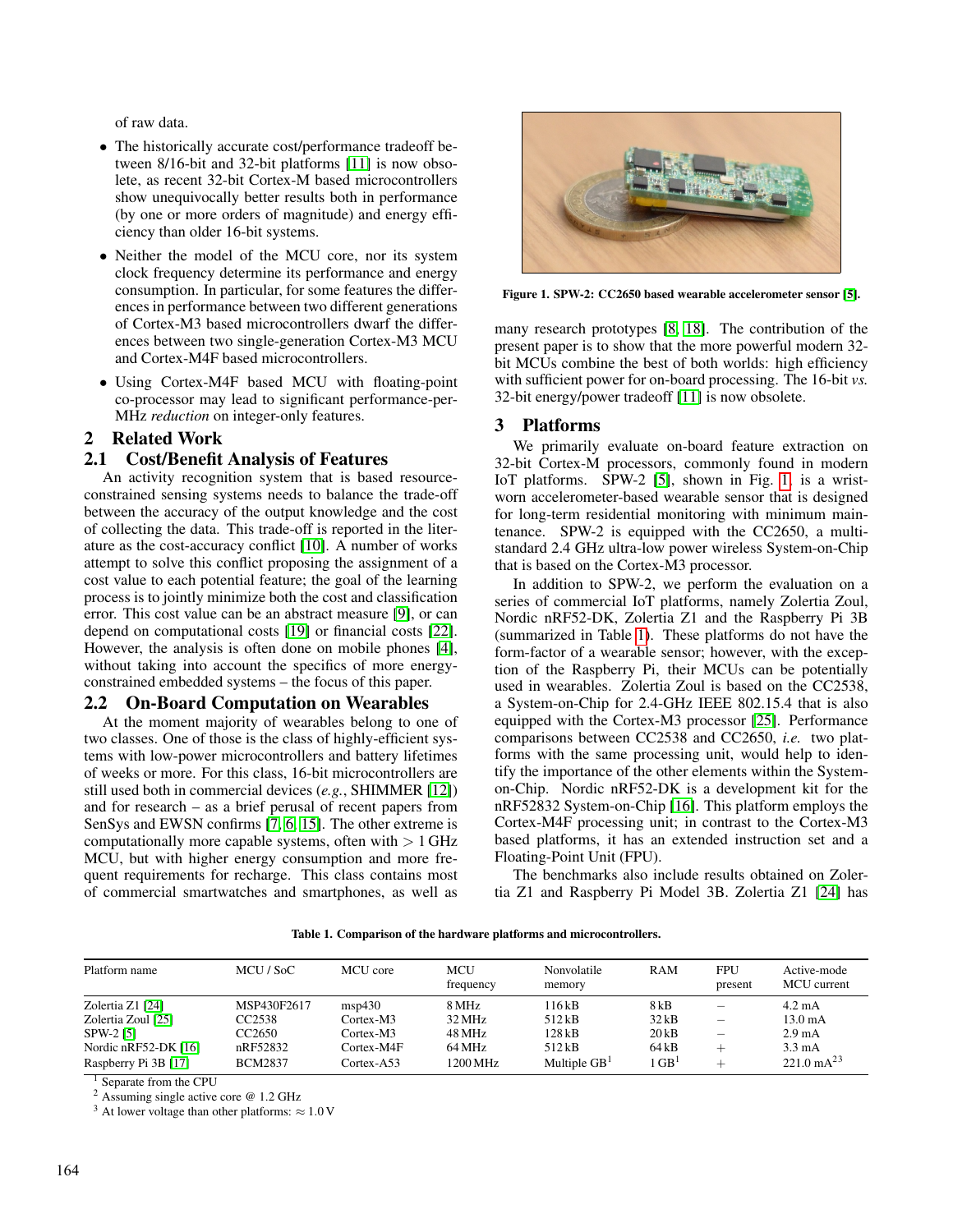of raw data.

- The historically accurate cost/performance tradeoff between 8/16-bit and 32-bit platforms [\[11\]](#page-5-2) is now obsolete, as recent 32-bit Cortex-M based microcontrollers show unequivocally better results both in performance (by one or more orders of magnitude) and energy efficiency than older 16-bit systems.
- Neither the model of the MCU core, nor its system clock frequency determine its performance and energy consumption. In particular, for some features the differences in performance between two different generations of Cortex-M3 based microcontrollers dwarf the differences between two single-generation Cortex-M3 MCU and Cortex-M4F based microcontrollers.
- Using Cortex-M4F based MCU with floating-point co-processor may lead to significant performance-per-MHz *reduction* on integer-only features.

## 2 Related Work

#### 2.1 Cost/Benefit Analysis of Features

An activity recognition system that is based resourceconstrained sensing systems needs to balance the trade-off between the accuracy of the output knowledge and the cost of collecting the data. This trade-off is reported in the literature as the cost-accuracy conflict [\[10\]](#page-5-3). A number of works attempt to solve this conflict proposing the assignment of a cost value to each potential feature; the goal of the learning process is to jointly minimize both the cost and classification error. This cost value can be an abstract measure [\[9\]](#page-5-4), or can depend on computational costs [\[19\]](#page-5-5) or financial costs [\[22\]](#page-5-6). However, the analysis is often done on mobile phones [\[4\]](#page-5-7), without taking into account the specifics of more energyconstrained embedded systems – the focus of this paper.

#### 2.2 On-Board Computation on Wearables

At the moment majority of wearables belong to one of two classes. One of those is the class of highly-efficient systems with low-power microcontrollers and battery lifetimes of weeks or more. For this class, 16-bit microcontrollers are still used both in commercial devices (*e.g.*, SHIMMER [\[12\]](#page-5-8)) and for research – as a brief perusal of recent papers from SenSys and EWSN confirms [\[7,](#page-5-9) [6,](#page-5-10) [15\]](#page-5-11). The other extreme is computationally more capable systems, often with  $> 1$  GHz MCU, but with higher energy consumption and more frequent requirements for recharge. This class contains most of commercial smartwatches and smartphones, as well as

<span id="page-1-0"></span>

Figure 1. SPW-2: CC2650 based wearable accelerometer sensor [\[5\]](#page-5-1).

many research prototypes [\[8,](#page-5-12) [18\]](#page-5-13). The contribution of the present paper is to show that the more powerful modern 32 bit MCUs combine the best of both worlds: high efficiency with sufficient power for on-board processing. The 16-bit *vs.* 32-bit energy/power tradeoff [\[11\]](#page-5-2) is now obsolete.

#### 3 Platforms

We primarily evaluate on-board feature extraction on 32-bit Cortex-M processors, commonly found in modern IoT platforms. SPW-2 [\[5\]](#page-5-1), shown in Fig. [1,](#page-1-0) is a wristworn accelerometer-based wearable sensor that is designed for long-term residential monitoring with minimum maintenance. SPW-2 is equipped with the CC2650, a multistandard 2.4 GHz ultra-low power wireless System-on-Chip that is based on the Cortex-M3 processor.

In addition to SPW-2, we perform the evaluation on a series of commercial IoT platforms, namely Zolertia Zoul, Nordic nRF52-DK, Zolertia Z1 and the Raspberry Pi 3B (summarized in Table [1\)](#page-1-1). These platforms do not have the form-factor of a wearable sensor; however, with the exception of the Raspberry Pi, their MCUs can be potentially used in wearables. Zolertia Zoul is based on the CC2538, a System-on-Chip for 2.4-GHz IEEE 802.15.4 that is also equipped with the Cortex-M3 processor [\[25\]](#page-5-14). Performance comparisons between CC2538 and CC2650, *i.e.* two platforms with the same processing unit, would help to identify the importance of the other elements within the Systemon-Chip. Nordic nRF52-DK is a development kit for the nRF52832 System-on-Chip [\[16\]](#page-5-15). This platform employs the Cortex-M4F processing unit; in contrast to the Cortex-M3 based platforms, it has an extended instruction set and a Floating-Point Unit (FPU).

The benchmarks also include results obtained on Zolertia Z1 and Raspberry Pi Model 3B. Zolertia Z1 [\[24\]](#page-5-16) has

|  |  |  |  |  |  | Table 1. Comparison of the hardware platforms and microcontrollers. |  |
|--|--|--|--|--|--|---------------------------------------------------------------------|--|
|--|--|--|--|--|--|---------------------------------------------------------------------|--|

<span id="page-1-1"></span>

| Platform name                                                                                         | MCU / SoC                                                     | MCU core                                                         | <b>MCU</b><br>frequency                         | Nonvolatile<br>memory                                | RAM                                           | <b>FPU</b><br>present    | Active-mode<br>MCU current                                                                               |
|-------------------------------------------------------------------------------------------------------|---------------------------------------------------------------|------------------------------------------------------------------|-------------------------------------------------|------------------------------------------------------|-----------------------------------------------|--------------------------|----------------------------------------------------------------------------------------------------------|
| Zolertia Z1 [24]<br>Zolertia Zoul [25]<br>SPW-2 [5]<br>Nordic $nRF52-DK$ [16]<br>Raspberry Pi 3B [17] | MSP430F2617<br>CC2538<br>CC2650<br>nRF52832<br><b>BCM2837</b> | msp430<br>$Cortex-M3$<br>Cortex-M3<br>Cortex-M4F<br>$Cortex-A53$ | 8 MHz<br>32 MHz<br>48 MHz<br>64 MHz<br>1200 MHz | 116 kB<br>512kB<br>128 kB<br>512kB<br>Multiple $GB1$ | 8 kB<br>32kB<br>$20$ kB<br>64kB<br>$\rm GB^1$ | $\overline{\phantom{m}}$ | $4.2 \text{ mA}$<br>$13.0 \text{ mA}$<br>$2.9 \text{ mA}$<br>$3.3 \text{ mA}$<br>$221.0 \text{ mA}^{23}$ |

<sup>1</sup> Separate from the CPU

<sup>2</sup> Assuming single active core @ 1.2 GHz

<sup>3</sup> At lower voltage than other platforms:  $\approx 1.0$  V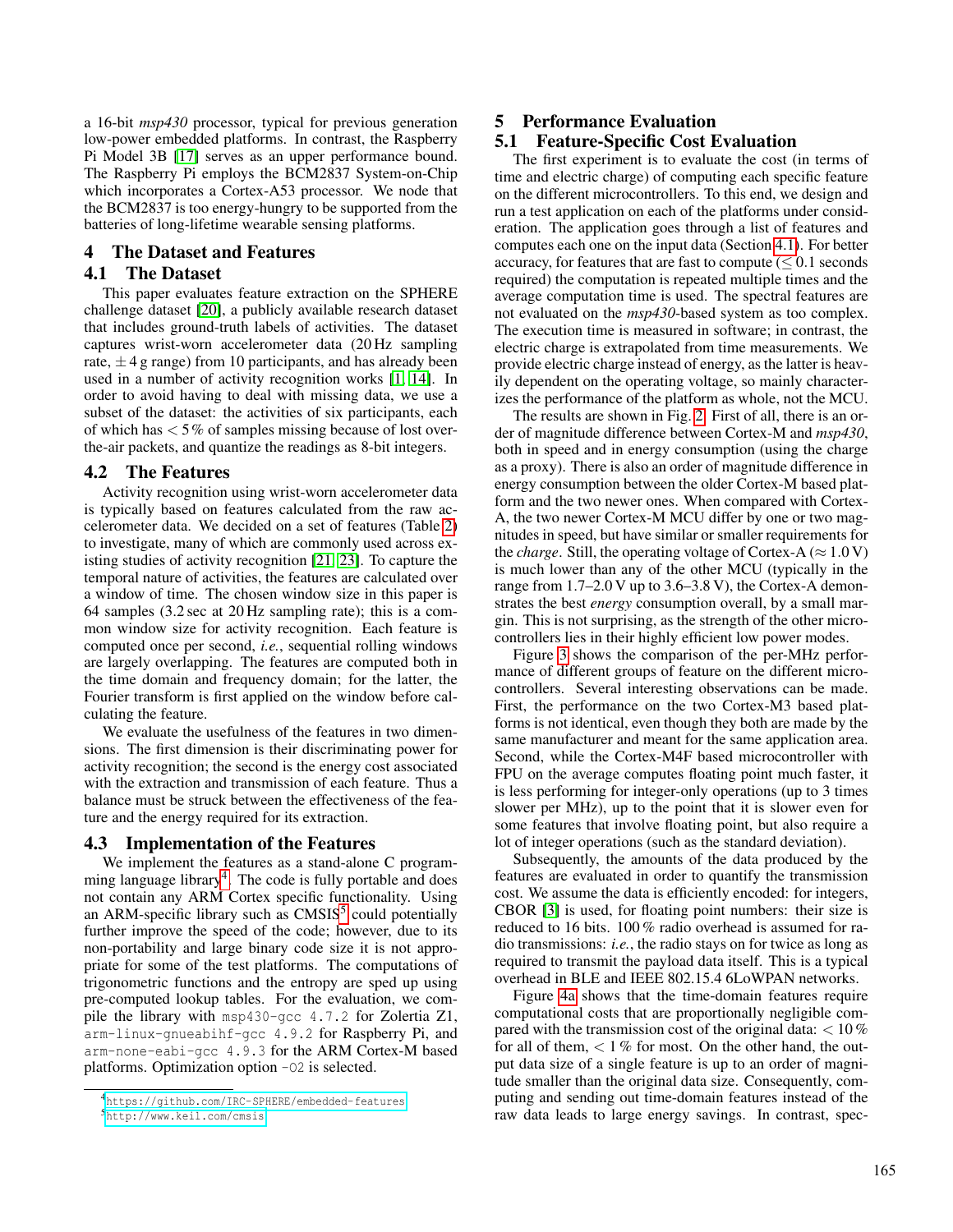a 16-bit *msp430* processor, typical for previous generation low-power embedded platforms. In contrast, the Raspberry Pi Model 3B [\[17\]](#page-5-17) serves as an upper performance bound. The Raspberry Pi employs the BCM2837 System-on-Chip which incorporates a Cortex-A53 processor. We node that the BCM2837 is too energy-hungry to be supported from the batteries of long-lifetime wearable sensing platforms.

## 4 The Dataset and Features

## <span id="page-2-2"></span>4.1 The Dataset

This paper evaluates feature extraction on the SPHERE challenge dataset [\[20\]](#page-5-18), a publicly available research dataset that includes ground-truth labels of activities. The dataset captures wrist-worn accelerometer data (20 Hz sampling rate,  $\pm$  4 g range) from 10 participants, and has already been used in a number of activity recognition works [\[1,](#page-5-19) [14\]](#page-5-20). In order to avoid having to deal with missing data, we use a subset of the dataset: the activities of six participants, each of which has  $< 5\%$  of samples missing because of lost overthe-air packets, and quantize the readings as 8-bit integers.

## 4.2 The Features

Activity recognition using wrist-worn accelerometer data is typically based on features calculated from the raw accelerometer data. We decided on a set of features (Table [2\)](#page-4-0) to investigate, many of which are commonly used across existing studies of activity recognition [\[21,](#page-5-21) [23\]](#page-5-22). To capture the temporal nature of activities, the features are calculated over a window of time. The chosen window size in this paper is 64 samples (3.2 sec at 20 Hz sampling rate); this is a common window size for activity recognition. Each feature is computed once per second, *i.e.*, sequential rolling windows are largely overlapping. The features are computed both in the time domain and frequency domain; for the latter, the Fourier transform is first applied on the window before calculating the feature.

We evaluate the usefulness of the features in two dimensions. The first dimension is their discriminating power for activity recognition; the second is the energy cost associated with the extraction and transmission of each feature. Thus a balance must be struck between the effectiveness of the feature and the energy required for its extraction.

#### 4.3 Implementation of the Features

We implement the features as a stand-alone C program-ming language library<sup>[4](#page-2-0)</sup>. The code is fully portable and does not contain any ARM Cortex specific functionality. Using an ARM-specific library such as CMSIS<sup>[5](#page-2-1)</sup> could potentially further improve the speed of the code; however, due to its non-portability and large binary code size it is not appropriate for some of the test platforms. The computations of trigonometric functions and the entropy are sped up using pre-computed lookup tables. For the evaluation, we compile the library with msp430-gcc 4.7.2 for Zolertia Z1, arm-linux-gnueabihf-gcc 4.9.2 for Raspberry Pi, and arm-none-eabi-gcc 4.9.3 for the ARM Cortex-M based platforms. Optimization option -O2 is selected.

# 5 Performance Evaluation

# 5.1 Feature-Specific Cost Evaluation

The first experiment is to evaluate the cost (in terms of time and electric charge) of computing each specific feature on the different microcontrollers. To this end, we design and run a test application on each of the platforms under consideration. The application goes through a list of features and computes each one on the input data (Section [4.1\)](#page-2-2). For better accuracy, for features that are fast to compute  $(< 0.1$  seconds required) the computation is repeated multiple times and the average computation time is used. The spectral features are not evaluated on the *msp430*-based system as too complex. The execution time is measured in software; in contrast, the electric charge is extrapolated from time measurements. We provide electric charge instead of energy, as the latter is heavily dependent on the operating voltage, so mainly characterizes the performance of the platform as whole, not the MCU.

The results are shown in Fig. [2.](#page-3-0) First of all, there is an order of magnitude difference between Cortex-M and *msp430*, both in speed and in energy consumption (using the charge as a proxy). There is also an order of magnitude difference in energy consumption between the older Cortex-M based platform and the two newer ones. When compared with Cortex-A, the two newer Cortex-M MCU differ by one or two magnitudes in speed, but have similar or smaller requirements for the *charge*. Still, the operating voltage of Cortex-A ( $\approx 1.0 \text{ V}$ ) is much lower than any of the other MCU (typically in the range from 1.7–2.0 V up to 3.6–3.8 V), the Cortex-A demonstrates the best *energy* consumption overall, by a small margin. This is not surprising, as the strength of the other microcontrollers lies in their highly efficient low power modes.

Figure [3](#page-3-1) shows the comparison of the per-MHz performance of different groups of feature on the different microcontrollers. Several interesting observations can be made. First, the performance on the two Cortex-M3 based platforms is not identical, even though they both are made by the same manufacturer and meant for the same application area. Second, while the Cortex-M4F based microcontroller with FPU on the average computes floating point much faster, it is less performing for integer-only operations (up to 3 times slower per MHz), up to the point that it is slower even for some features that involve floating point, but also require a lot of integer operations (such as the standard deviation).

Subsequently, the amounts of the data produced by the features are evaluated in order to quantify the transmission cost. We assume the data is efficiently encoded: for integers, CBOR [\[3\]](#page-5-23) is used, for floating point numbers: their size is reduced to 16 bits. 100 % radio overhead is assumed for radio transmissions: *i.e.*, the radio stays on for twice as long as required to transmit the payload data itself. This is a typical overhead in BLE and IEEE 802.15.4 6LoWPAN networks.

Figure [4a](#page-4-1) shows that the time-domain features require computational costs that are proportionally negligible compared with the transmission cost of the original data:  $< 10\%$ for all of them,  $\lt 1\%$  for most. On the other hand, the output data size of a single feature is up to an order of magnitude smaller than the original data size. Consequently, computing and sending out time-domain features instead of the raw data leads to large energy savings. In contrast, spec-

<span id="page-2-0"></span><sup>4</sup><https://github.com/IRC-SPHERE/embedded-features>

<span id="page-2-1"></span><sup>5</sup><http://www.keil.com/cmsis>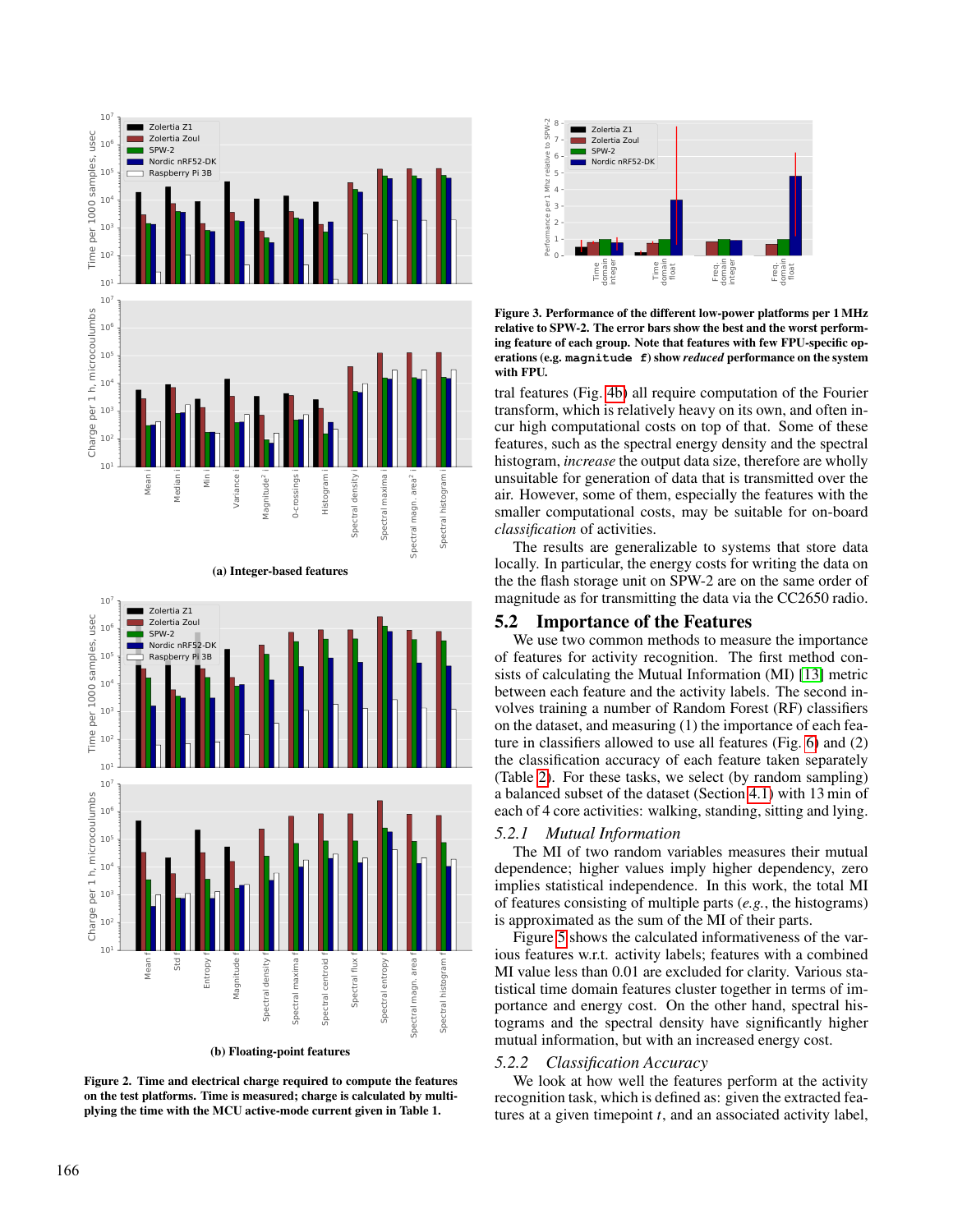<span id="page-3-0"></span>

(a) Integer-based features



Figure 2. Time and electrical charge required to compute the features on the test platforms. Time is measured; charge is calculated by multi-

<span id="page-3-1"></span>

Figure 3. Performance of the different low-power platforms per 1 MHz relative to SPW-2. The error bars show the best and the worst performing feature of each group. Note that features with few FPU-specific operations (e.g. **magnitude f**) show *reduced* performance on the system with FPU.

tral features (Fig. [4b\)](#page-4-2) all require computation of the Fourier transform, which is relatively heavy on its own, and often incur high computational costs on top of that. Some of these features, such as the spectral energy density and the spectral histogram, *increase* the output data size, therefore are wholly unsuitable for generation of data that is transmitted over the air. However, some of them, especially the features with the smaller computational costs, may be suitable for on-board *classification* of activities.

The results are generalizable to systems that store data locally. In particular, the energy costs for writing the data on the the flash storage unit on SPW-2 are on the same order of magnitude as for transmitting the data via the CC2650 radio.

#### 5.2 Importance of the Features

We use two common methods to measure the importance of features for activity recognition. The first method consists of calculating the Mutual Information (MI) [\[13\]](#page-5-24) metric between each feature and the activity labels. The second involves training a number of Random Forest (RF) classifiers on the dataset, and measuring (1) the importance of each feature in classifiers allowed to use all features (Fig. [6\)](#page-4-3) and (2) the classification accuracy of each feature taken separately (Table [2\)](#page-4-0). For these tasks, we select (by random sampling) a balanced subset of the dataset (Section [4.1\)](#page-2-2) with 13 min of each of 4 core activities: walking, standing, sitting and lying.

#### *5.2.1 Mutual Information*

The MI of two random variables measures their mutual dependence; higher values imply higher dependency, zero implies statistical independence. In this work, the total MI of features consisting of multiple parts (*e.g.*, the histograms) is approximated as the sum of the MI of their parts.

Figure [5](#page-4-4) shows the calculated informativeness of the various features w.r.t. activity labels; features with a combined MI value less than 0.01 are excluded for clarity. Various statistical time domain features cluster together in terms of importance and energy cost. On the other hand, spectral histograms and the spectral density have significantly higher mutual information, but with an increased energy cost.

#### *5.2.2 Classification Accuracy*

We look at how well the features perform at the activity recognition task, which is defined as: given the extracted features at a given timepoint *t*, and an associated activity label,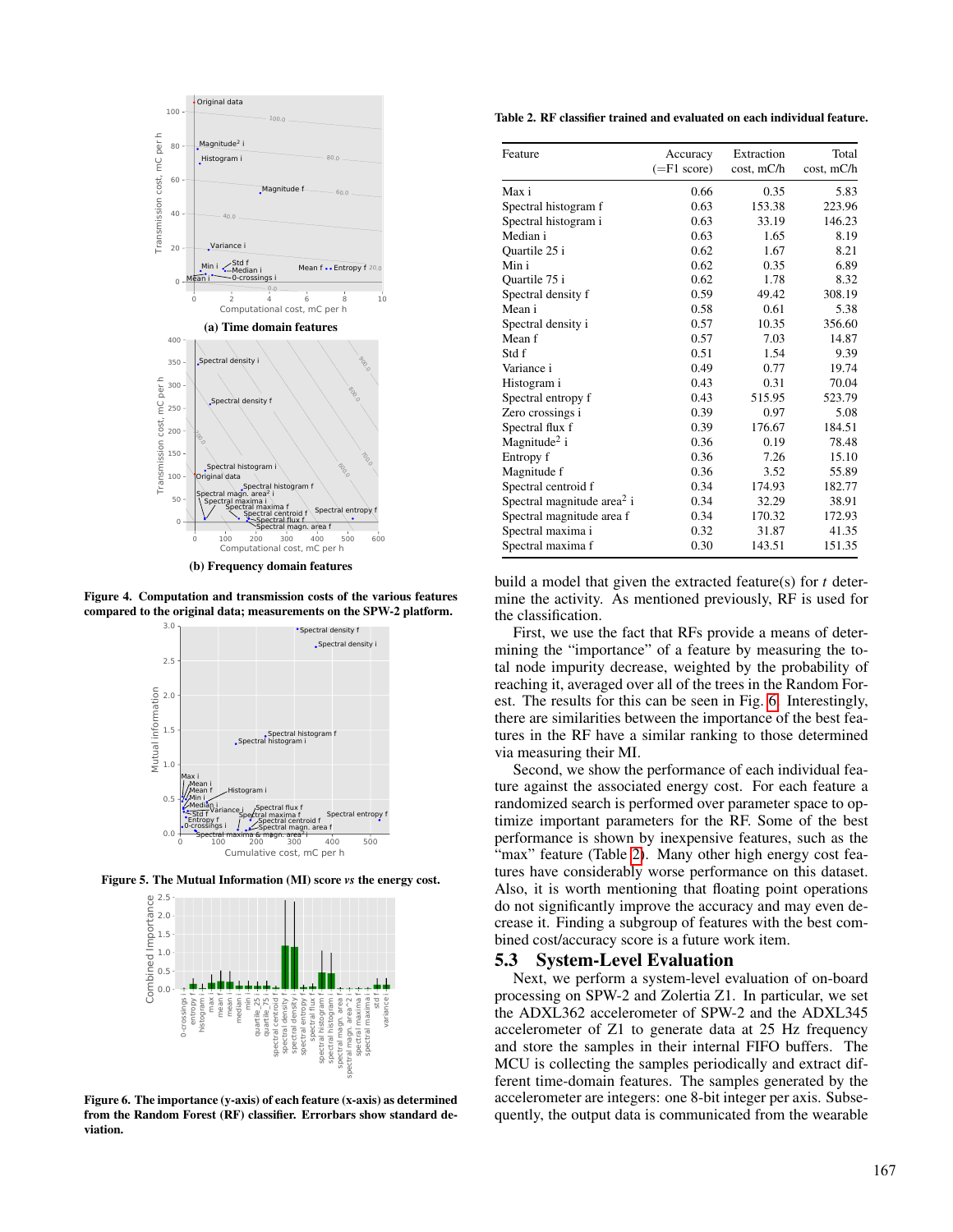<span id="page-4-2"></span><span id="page-4-1"></span>

(b) Frequency domain features

<span id="page-4-4"></span>Figure 4. Computation and transmission costs of the various features compared to the original data; measurements on the SPW-2 platform.



<span id="page-4-3"></span>Figure 5. The Mutual Information (MI) score *vs* the energy cost.



Figure 6. The importance (y-axis) of each feature (x-axis) as determined from the Random Forest (RF) classifier. Errorbars show standard deviation.

<span id="page-4-0"></span>Table 2. RF classifier trained and evaluated on each individual feature.

| Feature                                | Accuracy        | Extraction | Total      |
|----------------------------------------|-----------------|------------|------------|
|                                        | $(=\tF1 score)$ | cost, mC/h | cost, mC/h |
|                                        |                 |            |            |
| Max i                                  | 0.66            | 0.35       | 5.83       |
| Spectral histogram f                   | 0.63            | 153.38     | 223.96     |
| Spectral histogram i                   | 0.63            | 33.19      | 146.23     |
| Median i                               | 0.63            | 1.65       | 8.19       |
| Quartile 25 i                          | 0.62            | 1.67       | 8.21       |
| Min i                                  | 0.62            | 0.35       | 6.89       |
| Quartile 75 i                          | 0.62            | 1.78       | 8.32       |
| Spectral density f                     | 0.59            | 49.42      | 308.19     |
| Mean i                                 | 0.58            | 0.61       | 5.38       |
| Spectral density i                     | 0.57            | 10.35      | 356.60     |
| Mean f                                 | 0.57            | 7.03       | 14.87      |
| Std f                                  | 0.51            | 1.54       | 9.39       |
| Variance i                             | 0.49            | 0.77       | 19.74      |
| Histogram i                            | 0.43            | 0.31       | 70.04      |
| Spectral entropy f                     | 0.43            | 515.95     | 523.79     |
| Zero crossings i                       | 0.39            | 0.97       | 5.08       |
| Spectral flux f                        | 0.39            | 176.67     | 184.51     |
| Magnitude <sup>2</sup> i               | 0.36            | 0.19       | 78.48      |
| Entropy f                              | 0.36            | 7.26       | 15.10      |
| Magnitude f                            | 0.36            | 3.52       | 55.89      |
| Spectral centroid f                    | 0.34            | 174.93     | 182.77     |
| Spectral magnitude area <sup>2</sup> i | 0.34            | 32.29      | 38.91      |
| Spectral magnitude area f              | 0.34            | 170.32     | 172.93     |
| Spectral maxima i                      | 0.32            | 31.87      | 41.35      |
| Spectral maxima f                      | 0.30            | 143.51     | 151.35     |
|                                        |                 |            |            |

build a model that given the extracted feature(s) for *t* determine the activity. As mentioned previously, RF is used for the classification.

First, we use the fact that RFs provide a means of determining the "importance" of a feature by measuring the total node impurity decrease, weighted by the probability of reaching it, averaged over all of the trees in the Random Forest. The results for this can be seen in Fig. [6.](#page-4-3) Interestingly, there are similarities between the importance of the best features in the RF have a similar ranking to those determined via measuring their MI.

Second, we show the performance of each individual feature against the associated energy cost. For each feature a randomized search is performed over parameter space to optimize important parameters for the RF. Some of the best performance is shown by inexpensive features, such as the "max" feature (Table [2\)](#page-4-0). Many other high energy cost features have considerably worse performance on this dataset. Also, it is worth mentioning that floating point operations do not significantly improve the accuracy and may even decrease it. Finding a subgroup of features with the best combined cost/accuracy score is a future work item.

#### 5.3 System-Level Evaluation

Next, we perform a system-level evaluation of on-board processing on SPW-2 and Zolertia Z1. In particular, we set the ADXL362 accelerometer of SPW-2 and the ADXL345 accelerometer of Z1 to generate data at 25 Hz frequency and store the samples in their internal FIFO buffers. The MCU is collecting the samples periodically and extract different time-domain features. The samples generated by the accelerometer are integers: one 8-bit integer per axis. Subsequently, the output data is communicated from the wearable